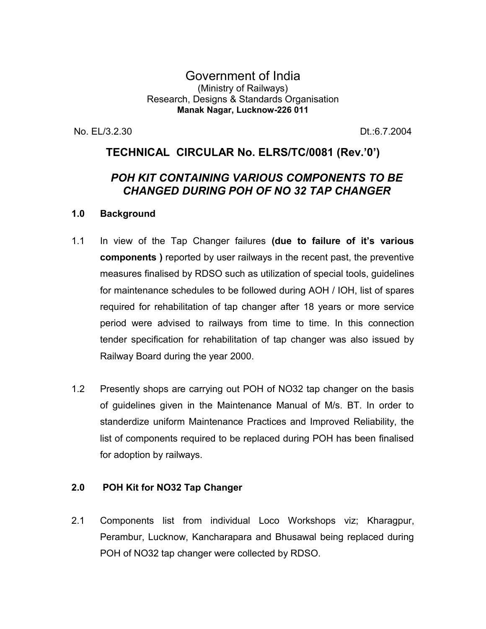#### Government of India (Ministry of Railways) Research, Designs & Standards Organisation **Manak Nagar, Lucknow-226 011**

No. EL/3.2.30 Dt.:6.7.2004

## **TECHNICAL CIRCULAR No. ELRS/TC/0081 (Rev.'0')**

# *POH KIT CONTAINING VARIOUS COMPONENTS TO BE CHANGED DURING POH OF NO 32 TAP CHANGER*

#### **1.0 Background**

- 1.1 In view of the Tap Changer failures **(due to failure of it's various components )** reported by user railways in the recent past, the preventive measures finalised by RDSO such as utilization of special tools, guidelines for maintenance schedules to be followed during AOH / IOH, list of spares required for rehabilitation of tap changer after 18 years or more service period were advised to railways from time to time. In this connection tender specification for rehabilitation of tap changer was also issued by Railway Board during the year 2000.
- 1.2 Presently shops are carrying out POH of NO32 tap changer on the basis of guidelines given in the Maintenance Manual of M/s. BT. In order to standerdize uniform Maintenance Practices and Improved Reliability, the list of components required to be replaced during POH has been finalised for adoption by railways.

#### **2.0 POH Kit for NO32 Tap Changer**

2.1 Components list from individual Loco Workshops viz; Kharagpur, Perambur, Lucknow, Kancharapara and Bhusawal being replaced during POH of NO32 tap changer were collected by RDSO.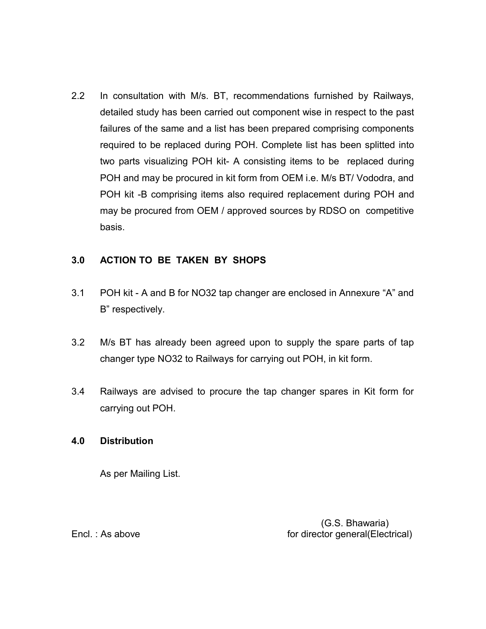2.2 In consultation with M/s. BT, recommendations furnished by Railways, detailed study has been carried out component wise in respect to the past failures of the same and a list has been prepared comprising components required to be replaced during POH. Complete list has been splitted into two parts visualizing POH kit- A consisting items to be replaced during POH and may be procured in kit form from OEM i.e. M/s BT/ Vododra, and POH kit -B comprising items also required replacement during POH and may be procured from OEM / approved sources by RDSO on competitive basis.

### **3.0 ACTION TO BE TAKEN BY SHOPS**

- 3.1 POH kit A and B for NO32 tap changer are enclosed in Annexure "A" and B" respectively.
- 3.2 M/s BT has already been agreed upon to supply the spare parts of tap changer type NO32 to Railways for carrying out POH, in kit form.
- 3.4 Railways are advised to procure the tap changer spares in Kit form for carrying out POH.

#### **4.0 Distribution**

As per Mailing List.

 (G.S. Bhawaria) Encl. : As above for director general(Electrical)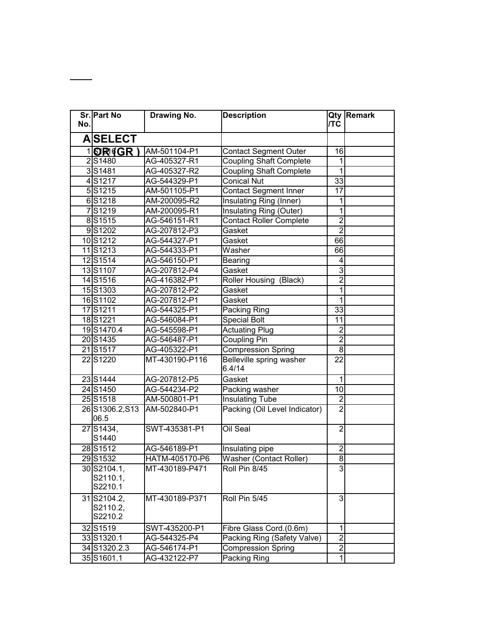| No. | Sr. Part No                        | Drawing No.    | <b>Description</b>                 | <b>TC</b>               | <b>Qty Remark</b> |
|-----|------------------------------------|----------------|------------------------------------|-------------------------|-------------------|
|     | <b>AISELECT</b>                    |                |                                    |                         |                   |
|     | <b>10R4GR)</b>                     | AM-501104-P1   | <b>Contact Segment Outer</b>       | 16                      |                   |
|     | 2S1480                             | AG-405327-R1   | <b>Coupling Shaft Complete</b>     | 1                       |                   |
|     | 3S1481                             | AG-405327-R2   | <b>Coupling Shaft Complete</b>     | 1                       |                   |
|     | 4S1217                             | AG-544329-P1   | <b>Conical Nut</b>                 | 33                      |                   |
|     | 5S1215                             | AM-501105-P1   | <b>Contact Segment Inner</b>       | 17                      |                   |
|     | 6S1218                             | AM-200095-R2   | Insulating Ring (Inner)            | 1                       |                   |
|     | 7S1219                             | AM-200095-R1   | Insulating Ring (Outer)            | 1                       |                   |
|     | 8S1515                             | AG-546151-R1   | <b>Contact Roller Complete</b>     | $\overline{2}$          |                   |
|     | 9S1202                             | AG-207812-P3   | Gasket                             | $\overline{2}$          |                   |
|     | 10S1212                            | AG-544327-P1   | Gasket                             | 66                      |                   |
|     | 11S1213                            | AG-544333-P1   | Washer                             | 66                      |                   |
|     | 12S1514                            | AG-546150-P1   | <b>Bearing</b>                     | 4                       |                   |
|     | 13S1107                            | AG-207812-P4   | Gasket                             | $\overline{3}$          |                   |
|     | 14S1516                            | AG-416382-P1   | Roller Housing<br>(Black)          | $\overline{2}$          |                   |
|     | 15S1303                            | AG-207812-P2   | Gasket                             | 1                       |                   |
|     | 16S1102                            | AG-207812-P1   | Gasket                             | 1                       |                   |
|     | 17S1211                            | AG-544325-P1   | Packing Ring                       | 33                      |                   |
|     | 18S1221                            | AG-546084-P1   | <b>Special Bolt</b>                | 11                      |                   |
|     | 19S1470.4                          | AG-545598-P1   | <b>Actuating Plug</b>              | $\overline{c}$          |                   |
|     | 20S1435                            | AG-546487-P1   | <b>Coupling Pin</b>                | $\overline{2}$          |                   |
|     | 21S1517                            | AG-405322-P1   | <b>Compression Spring</b>          | $\overline{8}$          |                   |
|     | 22S1220                            | MT-430190-P116 | Belleville spring washer<br>6.4/14 | 22                      |                   |
|     | 23 S1444                           | AG-207812-P5   | Gasket                             | 1                       |                   |
|     | 24 S1450                           | AG-544234-P2   | Packing washer                     | 10                      |                   |
|     | 25 S1518                           | AM-500801-P1   | <b>Insulating Tube</b>             | $\overline{2}$          |                   |
|     | 26S1306.2, S13<br>06.5             | AM-502840-P1   | Packing (Oil Level Indicator)      | $\overline{2}$          |                   |
|     | 27 S1434,<br>S1440                 | SWT-435381-P1  | Oil Seal                           | $\overline{2}$          |                   |
|     | 28 S1512                           | AG-546189-P1   | Insulating pipe                    | $\overline{c}$          |                   |
|     | 29S1532                            | HATM-405170-P6 | Washer (Contact Roller)            | 8                       |                   |
|     | 30 S2104.1,<br>S2110.1,<br>S2210.1 | MT-430189-P471 | Roll Pin 8/45                      | 3                       |                   |
|     | 31 S2104.2,<br>S2110.2,<br>S2210.2 | MT-430189-P371 | Roll Pin 5/45                      | 3                       |                   |
|     | 32 S1519                           | SWT-435200-P1  | Fibre Glass Cord.(0.6m)            | 1                       |                   |
|     | 33S1320.1                          | AG-544325-P4   | Packing Ring (Safety Valve)        | $\overline{2}$          |                   |
|     | 34S1320.2.3                        | AG-546174-P1   | Compression Spring                 | $\overline{\mathbf{c}}$ |                   |
|     | 35 S1601.1                         | AG-432122-P7   | Packing Ring                       | 1                       |                   |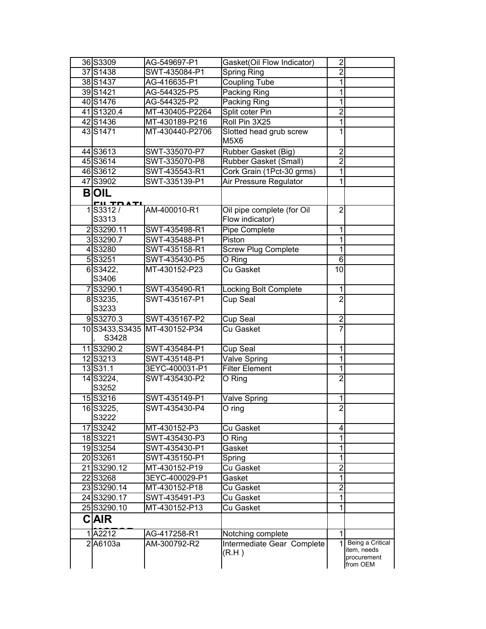| 36 S3309                        | AG-549697-P1                 | Gasket(Oil Flow Indicator)                    | $\overline{\mathbf{c}}$ |                                                            |
|---------------------------------|------------------------------|-----------------------------------------------|-------------------------|------------------------------------------------------------|
| 37 S1438                        | SWT-435084-P1                | Spring Ring                                   | $\overline{c}$          |                                                            |
| 38 S1437                        | AG-416635-P1                 | <b>Coupling Tube</b>                          | 1                       |                                                            |
| 39S1421                         | AG-544325-P5                 | Packing Ring                                  | 1                       |                                                            |
| 40 S1476                        | AG-544325-P2                 | <b>Packing Ring</b>                           | 1                       |                                                            |
| 41S1320.4                       | MT-430405-P2264              | Split coter Pin                               | $\overline{2}$          |                                                            |
| 42S1436                         | MT-430189-P216               | Roll Pin 3X25                                 | 1                       |                                                            |
| 43S1471                         | MT-430440-P2706              | Slotted head grub screw<br>M5X6               | 1                       |                                                            |
| 44 S3613                        | SWT-335070-P7                | Rubber Gasket (Big)                           | $\overline{c}$          |                                                            |
| 45 S3614                        | SWT-335070-P8                | Rubber Gasket (Small)                         | $\overline{2}$          |                                                            |
| 46 S3612                        | SWT-435543-R1                | Cork Grain (1Pct-30 grms)                     | 1                       |                                                            |
| 47 S3902                        | SWT-335139-P1                | Air Pressure Regulator                        | 1                       |                                                            |
| <b>BOIL</b><br><u>cu to ati</u> |                              |                                               |                         |                                                            |
| 1S3312/<br>S3313                | AM-400010-R1                 | Oil pipe complete (for Oil<br>Flow indicator) | $\overline{2}$          |                                                            |
| 2S3290.11                       | SWT-435498-R1                | Pipe Complete                                 | 1                       |                                                            |
| 3S3290.7                        | SWT-435488-P1                | Piston                                        | 1                       |                                                            |
| 4S3280                          | SWT-435158-R1                | <b>Screw Plug Complete</b>                    | 1                       |                                                            |
| 5S3251                          | SWT-435430-P5                | O Ring                                        | 6                       |                                                            |
| 6S3422,<br>S3406                | MT-430152-P23                | <b>Cu Gasket</b>                              | 10                      |                                                            |
| 7S3290.1                        | SWT-435490-R1                | Locking Bolt Complete                         | 1                       |                                                            |
| 8S3235,<br>S3233                | SWT-435167-P1                | Cup Seal                                      | $\overline{2}$          |                                                            |
| 9S3270.3                        | SWT-435167-P2                | Cup Seal                                      | $\overline{2}$          |                                                            |
| S3428                           | 10S3433, S3435 MT-430152-P34 | Cu Gasket                                     |                         |                                                            |
| 11S3290.2                       | SWT-435484-P1                | Cup Seal                                      | 1                       |                                                            |
| 12S3213                         | SWT-435148-P1                | Valve Spring                                  | 1                       |                                                            |
| 13S31.1                         | 3EYC-400031-P1               | <b>Filter Element</b>                         | 1                       |                                                            |
| 14 S3224,<br>S3252              | SWT-435430-P2                | O Ring                                        | $\overline{2}$          |                                                            |
| 15S3216                         | SWT-435149-P1                | <b>Valve Spring</b>                           | 1                       |                                                            |
| 16S3225,<br>S3222               | SWT-435430-P4                | $\overline{O}$ ring                           | $\overline{2}$          |                                                            |
| 17 S3242                        | MT-430152-P3                 | <b>Cu Gasket</b>                              | 4                       |                                                            |
| 18S3221                         | SWT-435430-P3                | O Ring                                        | 1                       |                                                            |
| 19S3254                         | SWT-435430-P1                | Gasket                                        | 1                       |                                                            |
| 20 S3261                        | SWT-435150-P1                | Spring                                        | 1                       |                                                            |
| 21S3290.12                      | MT-430152-P19                | Cu Gasket                                     | $\overline{2}$          |                                                            |
| 22 S3268                        | 3EYC-400029-P1               | Gasket                                        | 1                       |                                                            |
| 23 S3290.14                     | MT-430152-P18                | Cu Gasket                                     | $\overline{2}$          |                                                            |
| 24 S3290.17                     | SWT-435491-P3                | Cu Gasket                                     | 1                       |                                                            |
| 25S3290.10                      | MT-430152-P13                | Cu Gasket                                     | 1                       |                                                            |
| <b>CAIR</b>                     |                              |                                               |                         |                                                            |
| 1A2212                          | AG-417258-R1                 | Notching complete                             | 1                       |                                                            |
| 2A6103a                         | AM-300792-R2                 | Intermediate Gear Complete<br>(R.H)           |                         | Being a Critical<br>item, needs<br>procurement<br>from OEM |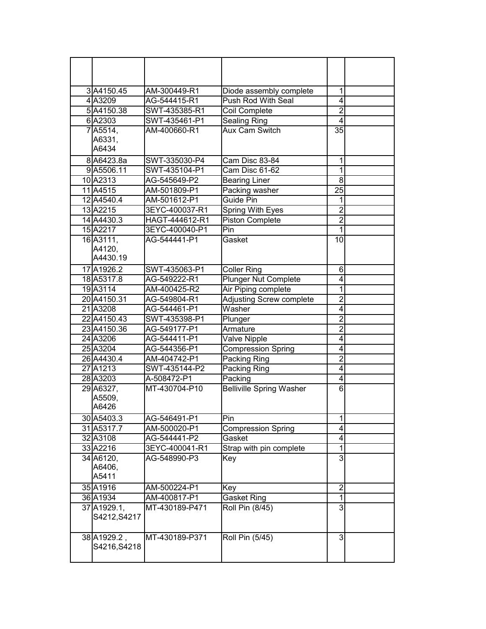| 3A4150.45<br>4A3209            | AM-300449-R1<br>AG-544415-R1 | Diode assembly complete<br>Push Rod With Seal | 1<br>4         |  |
|--------------------------------|------------------------------|-----------------------------------------------|----------------|--|
| 5A4150.38                      | SWT-435385-R1                |                                               | $\overline{2}$ |  |
| 6A2303                         | SWT-435461-P1                | Coil Complete                                 | $\overline{4}$ |  |
| 7A5514,                        | AM-400660-R1                 | Sealing Ring<br><b>Aux Cam Switch</b>         | 35             |  |
| A6331.                         |                              |                                               |                |  |
| A6434                          |                              |                                               |                |  |
| 8A6423.8a                      | SWT-335030-P4                | Cam Disc 83-84                                | 1              |  |
| 9A5506.11                      | SWT-435104-P1                | Cam Disc 61-62                                | 1              |  |
| 10A2313                        | AG-545649-P2                 | <b>Bearing Liner</b>                          | $\overline{8}$ |  |
| 11 A4515                       | AM-501809-P1                 | Packing washer                                | 25             |  |
| 12 A4540.4                     | AM-501612-P1                 | Guide Pin                                     | 1              |  |
| 13 A2215                       | 3EYC-400037-R1               | Spring With Eyes                              | $\overline{2}$ |  |
| 14 A4430.3                     | HAGT-444612-R1               | <b>Piston Complete</b>                        | $\overline{2}$ |  |
| 15A2217                        | 3EYC-400040-P1               | Pin                                           | 1              |  |
| 16A3111,<br>A4120,<br>A4430.19 | AG-544441-P1                 | Gasket                                        | 10             |  |
| 17A1926.2                      | SWT-435063-P1                | <b>Coller Ring</b>                            | 6              |  |
| 18A5317.8                      | AG-549222-R1                 | <b>Plunger Nut Complete</b>                   | 4              |  |
| 19A3114                        | AM-400425-R2                 | Air Piping complete                           | 1              |  |
| 20 A4150.31                    | AG-549804-R1                 | Adjusting Screw complete                      | $\overline{2}$ |  |
| 21 A3208                       | AG-544461-P1                 | Washer                                        | 4              |  |
| 22 A4150.43                    | SWT-435398-P1                | Plunger                                       | $\overline{c}$ |  |
| 23 A4150.36                    | AG-549177-P1                 | Armature                                      | $\overline{2}$ |  |
| 24 A3206                       | AG-544411-P1                 | <b>Valve Nipple</b>                           | 4              |  |
| 25 A3204                       | AG-544356-P1                 | <b>Compression Spring</b>                     | 4              |  |
| 26 A4430.4                     | AM-404742-P1                 | Packing Ring                                  | $\overline{2}$ |  |
| 27 A1213                       | SWT-435144-P2                | Packing Ring                                  | 4              |  |
| 28 A3203                       | A-508472-P1                  | Packing                                       | 4              |  |
| 29 A6327,                      | MT-430704-P10                | <b>Belliville Spring Washer</b>               | 6              |  |
| A5509.<br>A6426                |                              |                                               |                |  |
| 30 A5403.3                     | AG-546491-P1                 | Pin                                           | 1              |  |
| 31 A5317.7                     | AM-500020-P1                 | <b>Compression Spring</b>                     | 4              |  |
| 32 A3108                       | AG-544441-P2                 | Gasket                                        | 4              |  |
| 33 A2216                       | 3EYC-400041-R1               | Strap with pin complete                       | 1              |  |
| 34 A6120,<br>A6406,<br>A5411   | AG-548990-P3                 | Key                                           | 3              |  |
| 35 A1916                       | AM-500224-P1                 | Key                                           | $\overline{2}$ |  |
| 36 A1934                       | AM-400817-P1                 | <b>Gasket Ring</b>                            | 1              |  |
| 37 A1929.1,<br>S4212, S4217    | MT-430189-P471               | Roll Pin (8/45)                               | 3              |  |
| 38 A 1929.2,<br>S4216, S4218   | MT-430189-P371               | Roll Pin (5/45)                               | 3              |  |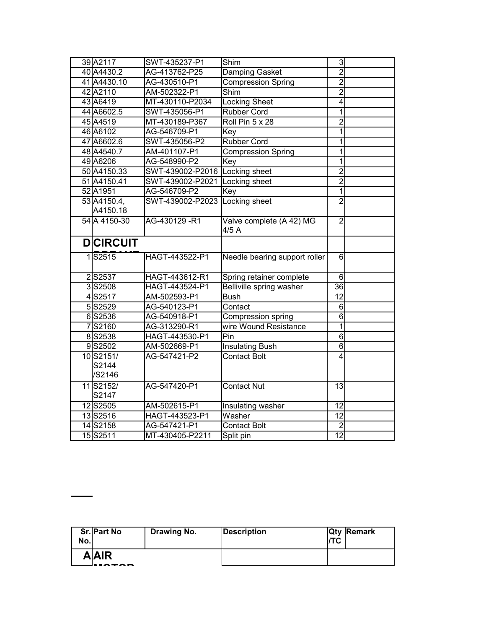| 39 A2117           | SWT-435237-P1                   | Shim                                        | $\overline{3}$                    |  |
|--------------------|---------------------------------|---------------------------------------------|-----------------------------------|--|
| 40 A4430.2         | AG-413762-P25                   | Damping Gasket                              | $\overline{2}$                    |  |
| 41 A4430.10        | AG-430510-P1                    | <b>Compression Spring</b>                   | $\overline{2}$                    |  |
| 42A2110            | AM-502322-P1                    | $\overline{\mathsf{Sh}}$ im                 | $\overline{2}$                    |  |
| 43 A6419           | MT-430110-P2034                 | <b>Locking Sheet</b>                        | $\overline{\mathbf{4}}$           |  |
| 44 A6602.5         | SWT-435056-P1                   | Rubber Cord                                 | 1                                 |  |
| 45 A4519           | MT-430189-P367                  | Roll Pin 5 x 28                             | $\overline{2}$                    |  |
| 46 A6102           | AG-546709-P1                    | Key                                         | 1                                 |  |
| 47 A6602.6         | SWT-435056-P2                   | <b>Rubber Cord</b>                          | $\overline{1}$                    |  |
| 48 A4540.7         | AM-401107-P1                    | <b>Compression Spring</b>                   | 1                                 |  |
| 49 A6206           | AG-548990-P2                    | Key                                         | $\overline{1}$                    |  |
| 50 A4150.33        | SWT-439002-P2016 Locking sheet  |                                             | $\overline{2}$                    |  |
| 51 A4150.41        | SWT-439002-P2021                | Locking sheet                               | $\overline{2}$                    |  |
| 52 A1951           | AG-546709-P2                    | Key                                         | 1                                 |  |
| 53 A4150.4,        | SWT-439002-P2023                | Locking sheet                               | $\overline{2}$                    |  |
| A4150.18           |                                 |                                             |                                   |  |
| 54 A 4150-30       | AG-430129 -R1                   | Valve complete (A 42) MG<br>4/5A            | $\overline{2}$                    |  |
| <b>DCIRCUIT</b>    |                                 |                                             |                                   |  |
|                    |                                 |                                             |                                   |  |
| 1S2515             | HAGT-443522-P1                  | Needle bearing support roller               | $6\phantom{1}6$                   |  |
| 2S2537             | HAGT-443612-R1                  | Spring retainer complete                    | $6\phantom{1}6$                   |  |
| 3S2508             | HAGT-443524-P1                  | Belliville spring washer                    | 36                                |  |
| 4S2517             | AM-502593-P1                    | <b>Bush</b>                                 | 12                                |  |
| 5S2529             | AG-540123-P1                    | Contact                                     | 6                                 |  |
| 6S2536             | AG-540918-P1                    |                                             | 6                                 |  |
| 7S2160             | AG-313290-R1                    | Compression spring<br>wire Wound Resistance | $\overline{1}$                    |  |
| 8S2538             | HAGT-443530-P1                  | Pin                                         | $\overline{6}$                    |  |
| 9S2502             | AM-502669-P1                    | <b>Insulating Bush</b>                      | 6                                 |  |
| 10S2151/           | AG-547421-P2                    | <b>Contact Bolt</b>                         | 4                                 |  |
| S2144              |                                 |                                             |                                   |  |
| /S2146             |                                 |                                             |                                   |  |
| 11 S2152/          | AG-547420-P1                    | <b>Contact Nut</b>                          | 13                                |  |
| S2147              |                                 |                                             |                                   |  |
| 12S2505            | AM-502615-P1                    | Insulating washer                           | 12                                |  |
| 13S2516            | HAGT-443523-P1                  | Washer                                      | $\overline{12}$                   |  |
| 14S2158<br>15S2511 | AG-547421-P1<br>MT-430405-P2211 | <b>Contact Bolt</b><br>Split pin            | $\overline{2}$<br>$\overline{12}$ |  |

| No. | Sr. Part No  | Drawing No. | Description | /TC | <b>Qty Remark</b> |
|-----|--------------|-------------|-------------|-----|-------------------|
|     | <b>A</b> AIR |             |             |     |                   |
|     |              |             |             |     |                   |